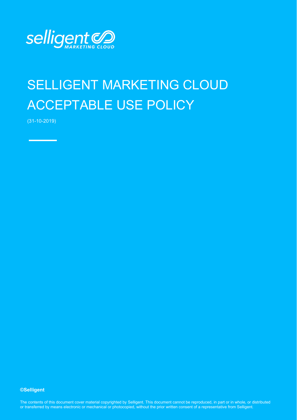

## SELLIGENT MARKETING CLOUD ACCEPTABLE USE POLICY

(31-10-2019)

## **©Selligent**

The contents of this document cover material copyrighted by Selligent. This document cannot be reproduced, in part or in whole, or distributed or transferred by means electronic or mechanical or photocopied, without the prior written consent of a representative from Selligent.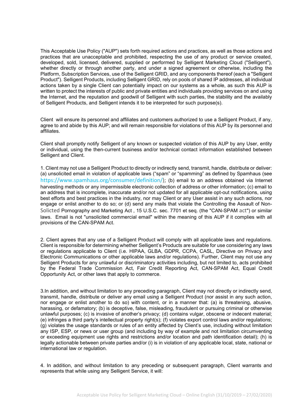This Acceptable Use Policy ("AUP") sets forth required actions and practices, as well as those actions and practices that are unacceptable and prohibited, respecting the use of any product or service created, developed, sold, licensed, delivered, supplied or performed by Selligent Marketing Cloud ("Selligent"), whether directly or through another party, and under a signed agreement or otherwise, including the Platform, Subscription Services, use of the Selligent GRID, and any components thereof (each a "Selligent Product"). Selligent Products, including Selligent GRID, rely on pools of shared IP addresses, all individual actions taken by a single Client can potentially impact on our systems as a whole, as such this AUP is written to protect the interests of public and private entities and individuals providing services on and using the Internet, and the reputation and goodwill of Selligent with such parties, the stability and the availably of Selligent Products, and Selligent intends it to be interpreted for such purpose(s).

Client will ensure its personnel and affiliates and customers authorized to use a Selligent Product, if any, agree to and abide by this AUP; and will remain responsible for violations of this AUP by its personnel and affiliates.

Client shall promptly notify Selligent of any known or suspected violation of this AUP by any User, entity or individual, using the then-current business and/or technical contact information established between Selligent and Client.

1. Client may not use a Selligent Product to directly or indirectly send, transmit, handle, distribute or deliver: (a) unsolicited email in violation of applicable laws ("spam" or "spamming" as defined by Spamhaus (see [https://www.spamhaus.org/consumer/definition/\)](https://www.spamhaus.org/consumer/definition/); (b) email to an address obtained via Internet harvesting methods or any impermissible electronic collection of address or other information; (c) email to an address that is incomplete, inaccurate and/or not updated for all applicable opt-out notifications, using best efforts and best practices in the industry, nor may Client or any User assist in any such actions, nor engage or enlist another to do so; or (d) send any mails that violate the Controlling the Assault of Non-Solicted Pornography and Marketing Act , 15 U.S.C. sec. 7701 et seq. (the "CAN-SPAM act") or similar laws. Email is not "unsolicited commercial email" within the meaning of this AUP if it complies with all provisions of the CAN-SPAM Act.

2. Client agrees that any use of a Selligent Product will comply with all applicable laws and regulations. Client is responsible for determining whether Selligent's Products are suitable for use considering any laws or regulations applicable to Client (i.e. HIPAA, GLBA, GDPR, CCPA, CASL, Directive on Privacy and Electronic Communications or other applicable laws and/or regulations). Further, Client may not use any Selligent Products for any unlawful or discriminatory activities including, but not limited to, acts prohibited by the Federal Trade Commission Act, Fair Credit Reporting Act, CAN-SPAM Act, Equal Credit Opportunity Act, or other laws that apply to commerce.

3.In addition, and without limitation to any preceding paragraph, Client may not directly or indirectly send, transmit, handle, distribute or deliver any email using a Selligent Product (nor assist in any such action, nor engage or enlist another to do so) with content, or in a manner that: (a) is threatening, abusive, harassing, or defamatory; (b) is deceptive, false, misleading, fraudulent or pursuing criminal or otherwise unlawful purposes; (c) is invasive of another's privacy; (d) contains vulgar, obscene or indecent material; (e) infringes a third party's intellectual property right(s); (f) violates export control laws and/or regulations; (g) violates the usage standards or rules of an entity affected by Client's use, including without limitation any ISP, ESP, or news or user group (and including by way of example and not limitation circumventing or exceeding equipment use rights and restrictions and/or location and path identification detail); (h) is legally actionable between private parties and/or (i) is in violation of any applicable local, state, national or international law or regulation.

4. In addition, and without limitation to any preceding or subsequent paragraph, Client warrants and represents that while using any Selligent Service, it will: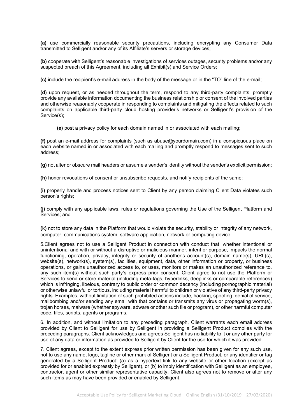**(a)** use commercially reasonable security precautions, including encrypting any Consumer Data transmitted to Selligent and/or any of its Affiliate's servers or storage devices;

**(b)** cooperate with Selligent's reasonable investigations of services outages, security problems and/or any suspected breach of this Agreement, including all Exhibit(s) and Service Orders;

**(c)** include the recipient's e-mail address in the body of the message or in the "TO" line of the e-mail;

**(d)** upon request, or as needed throughout the term, respond to any third-party complaints, promptly provide any available information documenting the business relationship or consent of the involved parties and otherwise reasonably cooperate in responding to complaints and mitigating the effects related to such complaints on applicable third-party cloud hosting provider's networks or Selligent's provision of the Service(s);

**(e)** post a privacy policy for each domain named in or associated with each mailing;

**(f)** post an e-mail address for complaints (such as abuse@yourdomain.com) in a conspicuous place on each website named in or associated with each mailing and promptly respond to messages sent to such address;

**(g)** not alter or obscure mail headers or assume a sender's identity without the sender's explicit permission;

**(h)** honor revocations of consent or unsubscribe requests, and notify recipients of the same;

**(i)** properly handle and process notices sent to Client by any person claiming Client Data violates such person's rights;

**(j)** comply with any applicable laws, rules or regulations governing the Use of the Selligent Platform and Services; and

**(k)** not to store any data in the Platform that would violate the security, stability or integrity of any network, computer, communications system, software application, network or computing device.

5.Client agrees not to use a Selligent Product in connection with conduct that, whether intentional or unintentional and with or without a disruptive or malicious manner, intent or purpose, impacts the normal functioning, operation, privacy, integrity or security of another's account(s), domain name(s), URL(s), website(s), network(s), system(s), facilities, equipment, data, other information or property, or business operations, or gains unauthorized access to, or uses, monitors or makes an unauthorized reference to, any such item(s) without such party's express prior consent. Client agree to not use the Platform or Services to send or store material (including meta-tags, hyperlinks, deeplinks or comparable references) which is infringing, libelous, contrary to public order or common decency (including pornographic material) or otherwise unlawful or tortious, including material harmful to children or violative of any third-party privacy rights. Examples, without limitation of such prohibited actions include, hacking, spoofing, denial of service, mailbombing and/or sending any email with that contains or transmits any virus or propagating worm(s), trojan horses, malware (whether spyware, adware or other such file or program), or other harmful computer code, files, scripts, agents or programs.

6. In addition, and without limitation to any preceding paragraph, Client warrants each email address provided by Client to Selligent for use by Selligent in providing a Selligent Product complies with the preceding paragraphs. Client acknowledges and agrees Selligent has no liability to it or any other party for use of any data or information as provided to Selligent by Client for the use for which it was provided.

7. Client agrees, except to the extent express prior written permission has been given for any such use, not to use any name, logo, tagline or other mark of Selligent or a Selligent Product, or any identifier or tag generated by a Selligent Product: (a) as a hypertext link to any website or other location (except as provided for or enabled expressly by Selligent), or (b) to imply identification with Selligent as an employee, contractor, agent or other similar representative capacity. Client also agrees not to remove or alter any such items as may have been provided or enabled by Selligent.